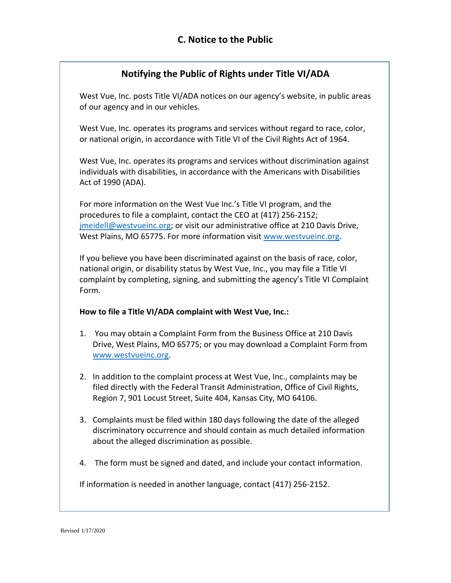# **Notifying the Public of Rights under Title VI/ADA**

West Vue, Inc. posts Title VI/ADA notices on our agency's website, in public areas of our agency and in our vehicles.

West Vue, Inc. operates its programs and services without regard to race, color, or national origin, in accordance with Title VI of the Civil Rights Act of 1964.

West Vue, Inc. operates its programs and services without discrimination against individuals with disabilities, in accordance with the Americans with Disabilities Act of 1990 (ADA).

For more information on the West Vue Inc.'s Title VI program, and the procedures to file a complaint, contact the CEO at (417) 256-2152; [jmeidell@westvueinc.org;](mailto:jmeidell@westvueinc.org) or visit our administrative office at 210 Davis Drive, West Plains, MO 65775. For more information visit [www.westvueinc.org.](http://www.westvueinc.org/)

If you believe you have been discriminated against on the basis of race, color, national origin, or disability status by West Vue, Inc., you may file a Title VI complaint by completing, signing, and submitting the agency's Title VI Complaint Form.

### **How to file a Title VI/ADA complaint with West Vue, Inc.:**

- 1. You may obtain a Complaint Form from the Business Office at 210 Davis Drive, West Plains, MO 65775; or you may download a Complaint Form from [www.westvueinc.org.](http://www.westvueinc.org/)
- 2. In addition to the complaint process at West Vue, Inc., complaints may be filed directly with the Federal Transit Administration, Office of Civil Rights, Region 7, 901 Locust Street, Suite 404, Kansas City, MO 64106.
- 3. Complaints must be filed within 180 days following the date of the alleged discriminatory occurrence and should contain as much detailed information about the alleged discrimination as possible.
- 4. The form must be signed and dated, and include your contact information.

If information is needed in another language, contact (417) 256-2152.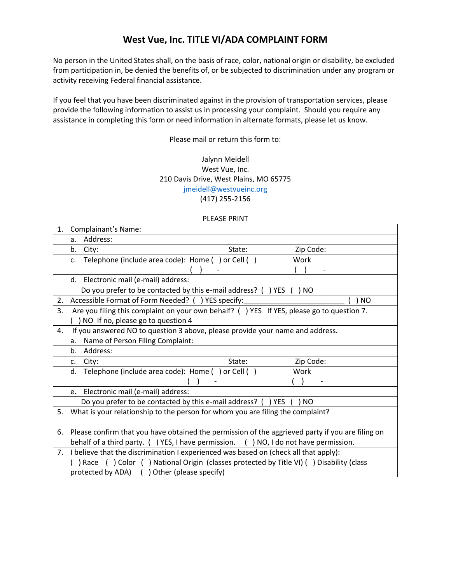## **West Vue, Inc. TITLE VI/ADA COMPLAINT FORM**

No person in the United States shall, on the basis of race, color, national origin or disability, be excluded from participation in, be denied the benefits of, or be subjected to discrimination under any program or activity receiving Federal financial assistance.

If you feel that you have been discriminated against in the provision of transportation services, please provide the following information to assist us in processing your complaint. Should you require any assistance in completing this form or need information in alternate formats, please let us know.

Please mail or return this form to:

#### Jalynn Meidell West Vue, Inc. 210 Davis Drive, West Plains, MO 65775 [jmeidell@westvueinc.org](mailto:jmeidell@westvueinc.org) (417) 255-2156

#### PLEASE PRINT

| 1. | Complainant's Name:                                                                                 |        |                |  |
|----|-----------------------------------------------------------------------------------------------------|--------|----------------|--|
|    | Address:<br>a.                                                                                      |        |                |  |
|    | b.<br>City:                                                                                         | State: | Zip Code:      |  |
|    | Telephone (include area code): Home () or Cell ()<br>$C_{\star}$                                    |        | Work           |  |
|    |                                                                                                     |        |                |  |
|    | Electronic mail (e-mail) address:<br>d.                                                             |        |                |  |
|    | Do you prefer to be contacted by this e-mail address? () YES (<br>) NO                              |        |                |  |
| 2. | Accessible Format of Form Needed? ( ) YES specify:                                                  |        | N <sub>O</sub> |  |
| 3. | Are you filing this complaint on your own behalf? () YES If YES, please go to question 7.           |        |                |  |
|    | ) NO If no, please go to question 4                                                                 |        |                |  |
| 4. | If you answered NO to question 3 above, please provide your name and address.                       |        |                |  |
|    | Name of Person Filing Complaint:<br>a.                                                              |        |                |  |
|    | Address:<br>b.                                                                                      |        |                |  |
|    | City:<br>c.                                                                                         | State: | Zip Code:      |  |
|    | Telephone (include area code): Home () or Cell ()<br>d.                                             |        | Work           |  |
|    |                                                                                                     |        |                |  |
|    | Electronic mail (e-mail) address:<br>e.                                                             |        |                |  |
|    | Do you prefer to be contacted by this e-mail address? () YES<br>NO.                                 |        |                |  |
| 5. | What is your relationship to the person for whom you are filing the complaint?                      |        |                |  |
|    |                                                                                                     |        |                |  |
|    | 6. Please confirm that you have obtained the permission of the aggrieved party if you are filing on |        |                |  |
|    | behalf of a third party. () YES, I have permission. () NO, I do not have permission.                |        |                |  |
| 7. | I believe that the discrimination I experienced was based on (check all that apply):                |        |                |  |
|    | ) Race () Color () National Origin (classes protected by Title VI) () Disability (class             |        |                |  |
|    | protected by ADA) () Other (please specify)                                                         |        |                |  |